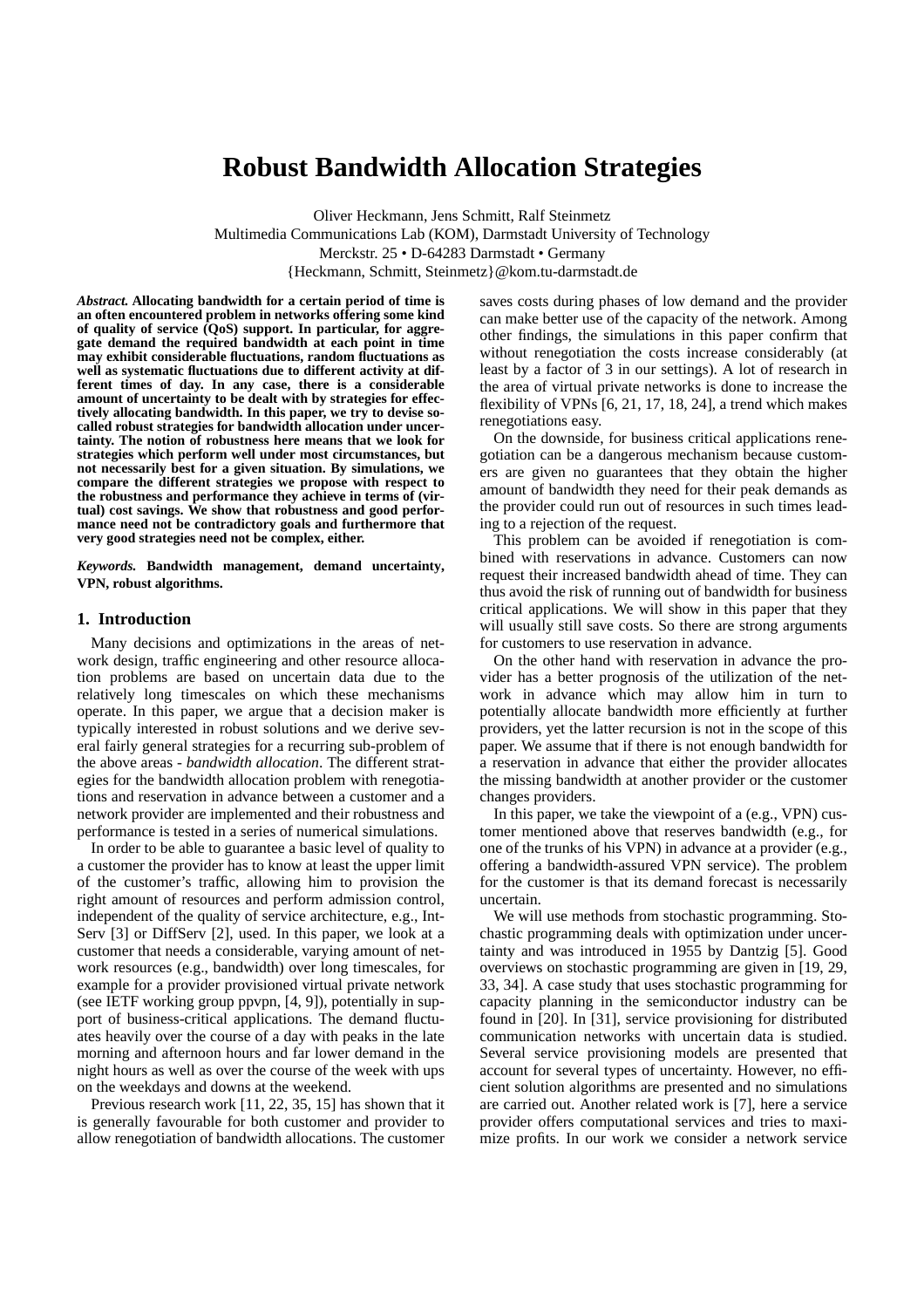# **Robust Bandwidth Allocation Strategies**

Oliver Heckmann, Jens Schmitt, Ralf Steinmetz Multimedia Communications Lab (KOM), Darmstadt University of Technology Merckstr. 25 • D-64283 Darmstadt • Germany {Heckmann, Schmitt, Steinmetz}@kom.tu-darmstadt.de

*Abstract.* **Allocating bandwidth for a certain period of time is an often encountered problem in networks offering some kind of quality of service (QoS) support. In particular, for aggregate demand the required bandwidth at each point in time may exhibit considerable fluctuations, random fluctuations as well as systematic fluctuations due to different activity at different times of day. In any case, there is a considerable amount of uncertainty to be dealt with by strategies for effectively allocating bandwidth. In this paper, we try to devise socalled robust strategies for bandwidth allocation under uncertainty. The notion of robustness here means that we look for strategies which perform well under most circumstances, but not necessarily best for a given situation. By simulations, we compare the different strategies we propose with respect to the robustness and performance they achieve in terms of (virtual) cost savings. We show that robustness and good performance need not be contradictory goals and furthermore that very good strategies need not be complex, either.**

*Keywords.* **Bandwidth management, demand uncertainty, VPN, robust algorithms.**

# **1. Introduction**

Many decisions and optimizations in the areas of network design, traffic engineering and other resource allocation problems are based on uncertain data due to the relatively long timescales on which these mechanisms operate. In this paper, we argue that a decision maker is typically interested in robust solutions and we derive several fairly general strategies for a recurring sub-problem of the above areas - *bandwidth allocation*. The different strategies for the bandwidth allocation problem with renegotiations and reservation in advance between a customer and a network provider are implemented and their robustness and performance is tested in a series of numerical simulations.

In order to be able to guarantee a basic level of quality to a customer the provider has to know at least the upper limit of the customer's traffic, allowing him to provision the right amount of resources and perform admission control, independent of the quality of service architecture, e.g., Int-Serv [3] or DiffServ [2], used. In this paper, we look at a customer that needs a considerable, varying amount of network resources (e.g., bandwidth) over long timescales, for example for a provider provisioned virtual private network (see IETF working group ppvpn, [4, 9]), potentially in support of business-critical applications. The demand fluctuates heavily over the course of a day with peaks in the late morning and afternoon hours and far lower demand in the night hours as well as over the course of the week with ups on the weekdays and downs at the weekend.

Previous research work [11, 22, 35, 15] has shown that it is generally favourable for both customer and provider to allow renegotiation of bandwidth allocations. The customer

saves costs during phases of low demand and the provider can make better use of the capacity of the network. Among other findings, the simulations in this paper confirm that without renegotiation the costs increase considerably (at least by a factor of 3 in our settings). A lot of research in the area of virtual private networks is done to increase the flexibility of VPNs [6, 21, 17, 18, 24], a trend which makes renegotiations easy.

On the downside, for business critical applications renegotiation can be a dangerous mechanism because customers are given no guarantees that they obtain the higher amount of bandwidth they need for their peak demands as the provider could run out of resources in such times leading to a rejection of the request.

This problem can be avoided if renegotiation is combined with reservations in advance. Customers can now request their increased bandwidth ahead of time. They can thus avoid the risk of running out of bandwidth for business critical applications. We will show in this paper that they will usually still save costs. So there are strong arguments for customers to use reservation in advance.

On the other hand with reservation in advance the provider has a better prognosis of the utilization of the network in advance which may allow him in turn to potentially allocate bandwidth more efficiently at further providers, yet the latter recursion is not in the scope of this paper. We assume that if there is not enough bandwidth for a reservation in advance that either the provider allocates the missing bandwidth at another provider or the customer changes providers.

In this paper, we take the viewpoint of a (e.g., VPN) customer mentioned above that reserves bandwidth (e.g., for one of the trunks of his VPN) in advance at a provider (e.g., offering a bandwidth-assured VPN service). The problem for the customer is that its demand forecast is necessarily uncertain.

We will use methods from stochastic programming. Stochastic programming deals with optimization under uncertainty and was introduced in 1955 by Dantzig [5]. Good overviews on stochastic programming are given in [19, 29, 33, 34]. A case study that uses stochastic programming for capacity planning in the semiconductor industry can be found in [20]. In [31], service provisioning for distributed communication networks with uncertain data is studied. Several service provisioning models are presented that account for several types of uncertainty. However, no efficient solution algorithms are presented and no simulations are carried out. Another related work is [7], here a service provider offers computational services and tries to maximize profits. In our work we consider a network service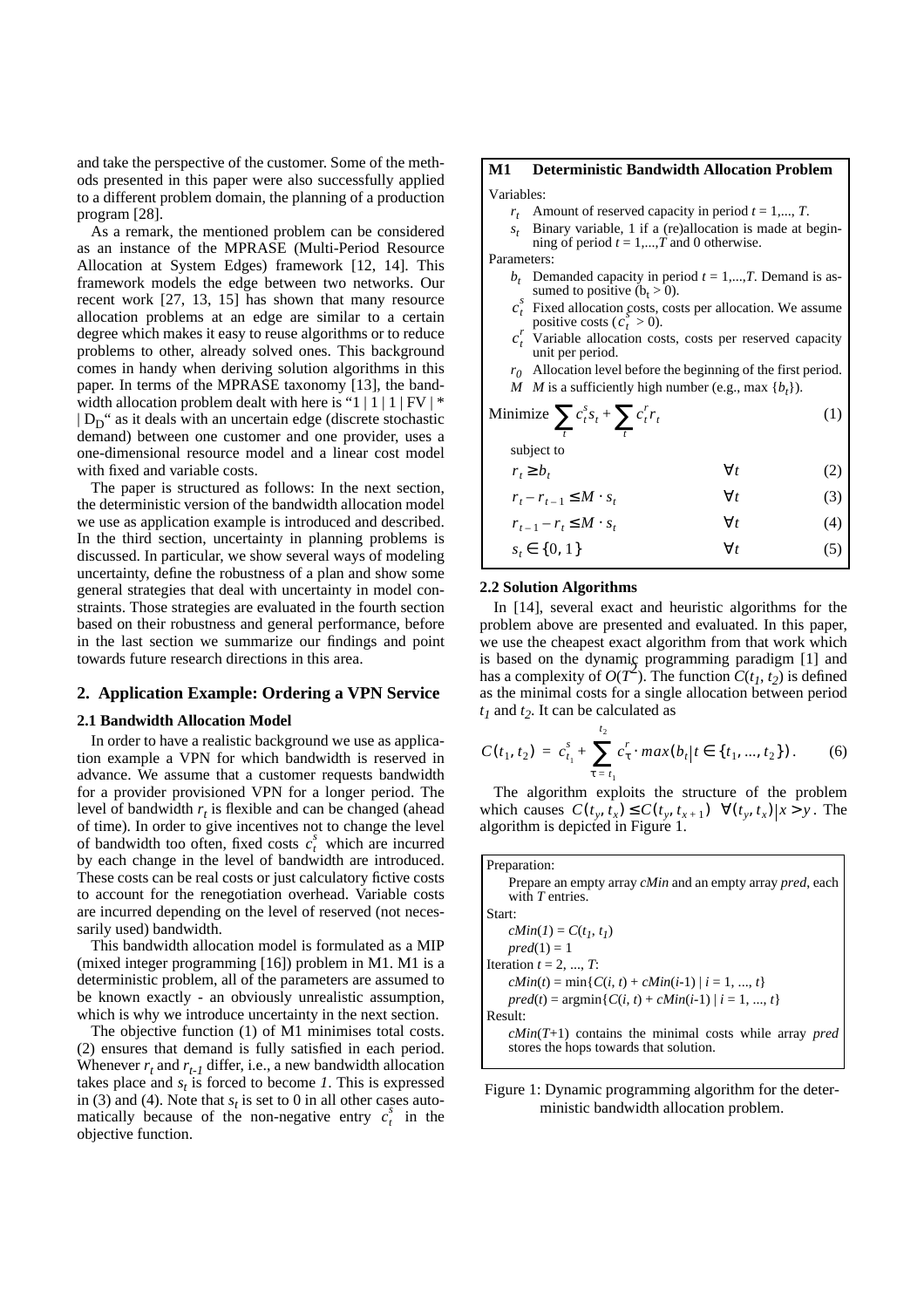and take the perspective of the customer. Some of the methods presented in this paper were also successfully applied to a different problem domain, the planning of a production program [28].

As a remark, the mentioned problem can be considered as an instance of the MPRASE (Multi-Period Resource Allocation at System Edges) framework [12, 14]. This framework models the edge between two networks. Our recent work [27, 13, 15] has shown that many resource allocation problems at an edge are similar to a certain degree which makes it easy to reuse algorithms or to reduce problems to other, already solved ones. This background comes in handy when deriving solution algorithms in this paper. In terms of the MPRASE taxonomy [13], the bandwidth allocation problem dealt with here is "1 | 1 | 1 |  $FV$  |  $*$  $| D_D"$  as it deals with an uncertain edge (discrete stochastic demand) between one customer and one provider, uses a one-dimensional resource model and a linear cost model with fixed and variable costs.

The paper is structured as follows: In the next section, the deterministic version of the bandwidth allocation model we use as application example is introduced and described. In the third section, uncertainty in planning problems is discussed. In particular, we show several ways of modeling uncertainty, define the robustness of a plan and show some general strategies that deal with uncertainty in model constraints. Those strategies are evaluated in the fourth section based on their robustness and general performance, before in the last section we summarize our findings and point towards future research directions in this area.

### **2. Application Example: Ordering a VPN Service**

#### **2.1 Bandwidth Allocation Model**

In order to have a realistic background we use as application example a VPN for which bandwidth is reserved in advance. We assume that a customer requests bandwidth for a provider provisioned VPN for a longer period. The level of bandwidth  $r_t$  is flexible and can be changed (ahead of time). In order to give incentives not to change the level of bandwidth too often, fixed costs  $c_t^s$  which are incurred by each change in the level of bandwidth are introduced. These costs can be real costs or just calculatory fictive costs to account for the renegotiation overhead. Variable costs are incurred depending on the level of reserved (not necessarily used) bandwidth.

This bandwidth allocation model is formulated as a MIP (mixed integer programming [16]) problem in M1. M1 is a deterministic problem, all of the parameters are assumed to be known exactly - an obviously unrealistic assumption, which is why we introduce uncertainty in the next section.

The objective function (1) of M1 minimises total costs. (2) ensures that demand is fully satisfied in each period. Whenever  $r_t$  and  $r_{t-1}$  differ, i.e., a new bandwidth allocation takes place and  $s_t$  is forced to become *1*. This is expressed in (3) and (4). Note that  $s_t$  is set to 0 in all other cases automatically because of the non-negative entry  $c_t^s$  in the objective function.

# **M1 Deterministic Bandwidth Allocation Problem** Variables:

- $r_t$  Amount of reserved capacity in period  $t = 1, ..., T$ .
- $s_t$  Binary variable, 1 if a (re)allocation is made at begin-
- ning of period  $t = 1,...,T$  and 0 otherwise. Parameters:
	- $b_t$  Demanded capacity in period  $t = 1,...,T$ . Demand is assumed to positive  $(b_t > 0)$ .
	- Fixed allocation costs, costs per allocation. We assume positive costs  $(c_t^s > 0)$ .  $c_t^s$
	- Variable allocation costs, costs per reserved capacity unit per period.  $c_t^r$
	- $r_0$  Allocation level before the beginning of the first period. *M M* is a sufficiently high number (e.g., max  $\{b_t\}$ ).

Minimize 
$$
\sum_{t} c_t^s s_t + \sum_{t} c_t^r r_t
$$
subject to (1)

(2) (3) *rt b* ≥ *<sup>t</sup>* ∀*t*  $r_t - r_{t-1} \leq M \cdot s_t$   $\forall t$ 

$$
r_{t-1} - r_t \le M \cdot s_t \qquad \qquad \forall t \tag{4}
$$

(5)  $s_t \in \{0, 1\}$   $\forall t$ 

## **2.2 Solution Algorithms**

In [14], several exact and heuristic algorithms for the problem above are presented and evaluated. In this paper, we use the cheapest exact algorithm from that work which is based on the dynamic programming paradigm [1] and has a complexity of  $O(T^2)$ . The function  $C(t_1, t_2)$  is defined as the minimal costs for a single allocation between period *t1* and *t2*. It can be calculated as

$$
C(t_1, t_2) = c_{t_1}^s + \sum_{\tau = t_1}^{t_2} c_{\tau}^r \cdot \max(b_t | t \in \{t_1, ..., t_2\})
$$
 (6)

The algorithm exploits the structure of the problem which causes  $C(t_y, t_x) \le C(t_y, t_{x+1}) \quad \forall (t_y, t_x) | x > y$ . The algorithm is depicted in Figure 1.

| Preparation:                                                                                             |
|----------------------------------------------------------------------------------------------------------|
| Prepare an empty array <i>cMin</i> and an empty array <i>pred</i> , each<br>with $T$ entries.            |
| Start:                                                                                                   |
| $cMin(I) = C(t_1, t_1)$                                                                                  |
| $pred(1) = 1$                                                                                            |
| Iteration $t = 2, , T$ :                                                                                 |
| $cMin(t) = min\{C(i, t) + cMin(i-1)   i = 1, , t\}$                                                      |
| $pred(t) = argmin\{C(i, t) + cMin(i-1)   i = 1, , t\}$                                                   |
| Result:                                                                                                  |
| $cMin(T+1)$ contains the minimal costs while array <i>pred</i><br>stores the hops towards that solution. |

Figure 1: Dynamic programming algorithm for the deterministic bandwidth allocation problem.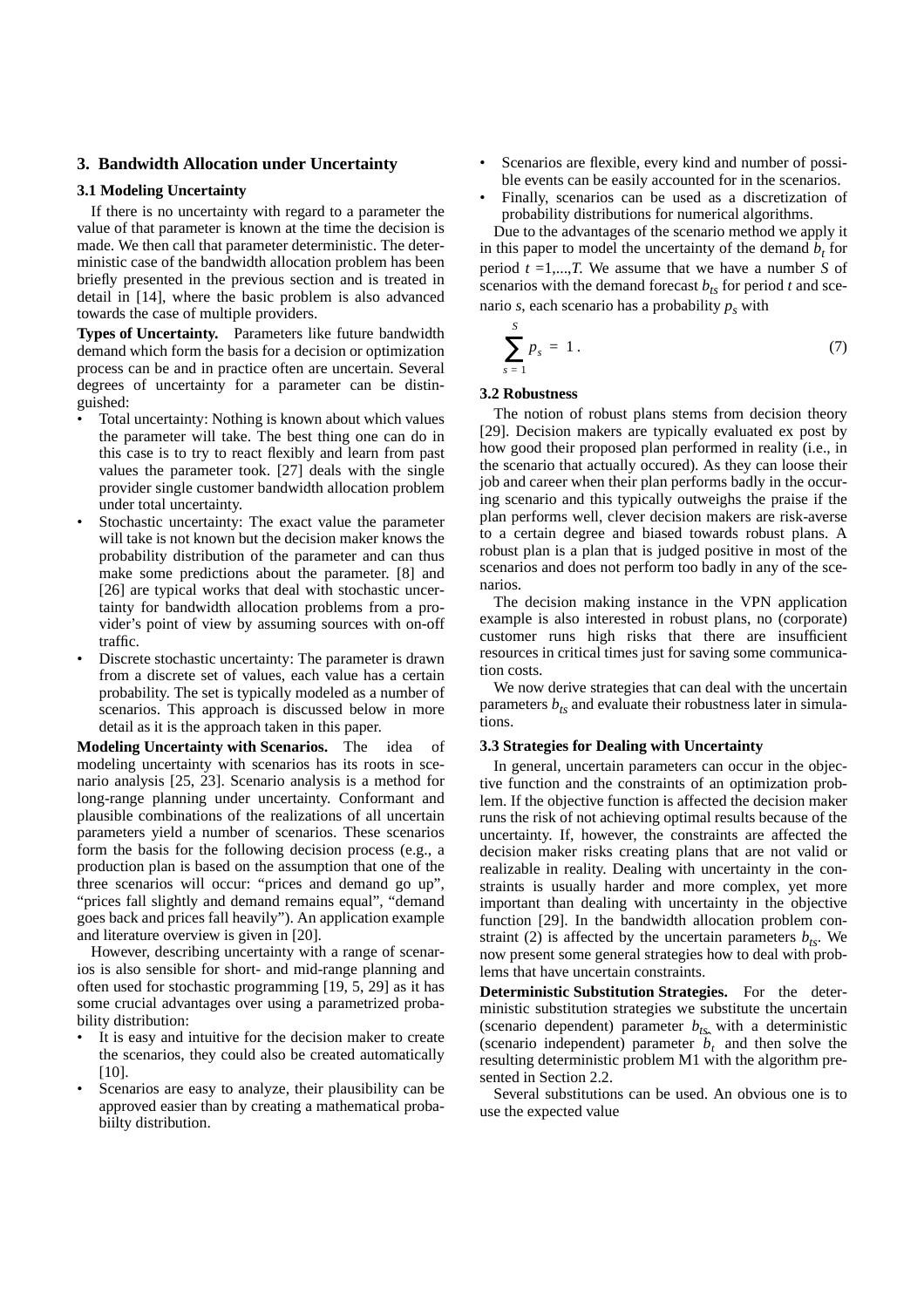# **3. Bandwidth Allocation under Uncertainty**

#### **3.1 Modeling Uncertainty**

If there is no uncertainty with regard to a parameter the value of that parameter is known at the time the decision is made. We then call that parameter deterministic. The deterministic case of the bandwidth allocation problem has been briefly presented in the previous section and is treated in detail in [14], where the basic problem is also advanced towards the case of multiple providers.

**Types of Uncertainty.** Parameters like future bandwidth demand which form the basis for a decision or optimization process can be and in practice often are uncertain. Several degrees of uncertainty for a parameter can be distinguished:

- Total uncertainty: Nothing is known about which values the parameter will take. The best thing one can do in this case is to try to react flexibly and learn from past values the parameter took. [27] deals with the single provider single customer bandwidth allocation problem under total uncertainty.
- Stochastic uncertainty: The exact value the parameter will take is not known but the decision maker knows the probability distribution of the parameter and can thus make some predictions about the parameter. [8] and [26] are typical works that deal with stochastic uncertainty for bandwidth allocation problems from a provider's point of view by assuming sources with on-off traffic.
- Discrete stochastic uncertainty: The parameter is drawn from a discrete set of values, each value has a certain probability. The set is typically modeled as a number of scenarios. This approach is discussed below in more detail as it is the approach taken in this paper.

**Modeling Uncertainty with Scenarios.** The idea of modeling uncertainty with scenarios has its roots in scenario analysis [25, 23]. Scenario analysis is a method for long-range planning under uncertainty. Conformant and plausible combinations of the realizations of all uncertain parameters yield a number of scenarios. These scenarios form the basis for the following decision process (e.g., a production plan is based on the assumption that one of the three scenarios will occur: "prices and demand go up", "prices fall slightly and demand remains equal", "demand goes back and prices fall heavily"). An application example and literature overview is given in [20].

However, describing uncertainty with a range of scenarios is also sensible for short- and mid-range planning and often used for stochastic programming [19, 5, 29] as it has some crucial advantages over using a parametrized probability distribution:

- It is easy and intuitive for the decision maker to create the scenarios, they could also be created automatically [10].
- Scenarios are easy to analyze, their plausibility can be approved easier than by creating a mathematical probabiilty distribution.
- Scenarios are flexible, every kind and number of possible events can be easily accounted for in the scenarios.
- Finally, scenarios can be used as a discretization of probability distributions for numerical algorithms.

Due to the advantages of the scenario method we apply it in this paper to model the uncertainty of the demand  $b_t$  for period *t* =1,...,*T*. We assume that we have a number *S* of scenarios with the demand forecast  $b_{ts}$  for period *t* and scenario  $s$ , each scenario has a probability  $p_s$  with

$$
\sum_{s=1}^{S} p_s = 1.
$$
 (7)

#### **3.2 Robustness**

The notion of robust plans stems from decision theory [29]. Decision makers are typically evaluated ex post by how good their proposed plan performed in reality (i.e., in the scenario that actually occured). As they can loose their job and career when their plan performs badly in the occuring scenario and this typically outweighs the praise if the plan performs well, clever decision makers are risk-averse to a certain degree and biased towards robust plans. A robust plan is a plan that is judged positive in most of the scenarios and does not perform too badly in any of the scenarios.

The decision making instance in the VPN application example is also interested in robust plans, no (corporate) customer runs high risks that there are insufficient resources in critical times just for saving some communication costs.

We now derive strategies that can deal with the uncertain parameters  $b_{ts}$  and evaluate their robustness later in simulations.

### **3.3 Strategies for Dealing with Uncertainty**

In general, uncertain parameters can occur in the objective function and the constraints of an optimization problem. If the objective function is affected the decision maker runs the risk of not achieving optimal results because of the uncertainty. If, however, the constraints are affected the decision maker risks creating plans that are not valid or realizable in reality. Dealing with uncertainty in the constraints is usually harder and more complex, yet more important than dealing with uncertainty in the objective function [29]. In the bandwidth allocation problem constraint (2) is affected by the uncertain parameters  $b_{ts}$ . We now present some general strategies how to deal with problems that have uncertain constraints.

**Deterministic Substitution Strategies.** For the deterministic substitution strategies we substitute the uncertain (scenario dependent) parameter  $b_{ts}$  with a deterministic (scenario independent) parameter  $\hat{b}_t$  and then solve the resulting deterministic problem M1 with the algorithm presented in Section 2.2.

Several substitutions can be used. An obvious one is to use the expected value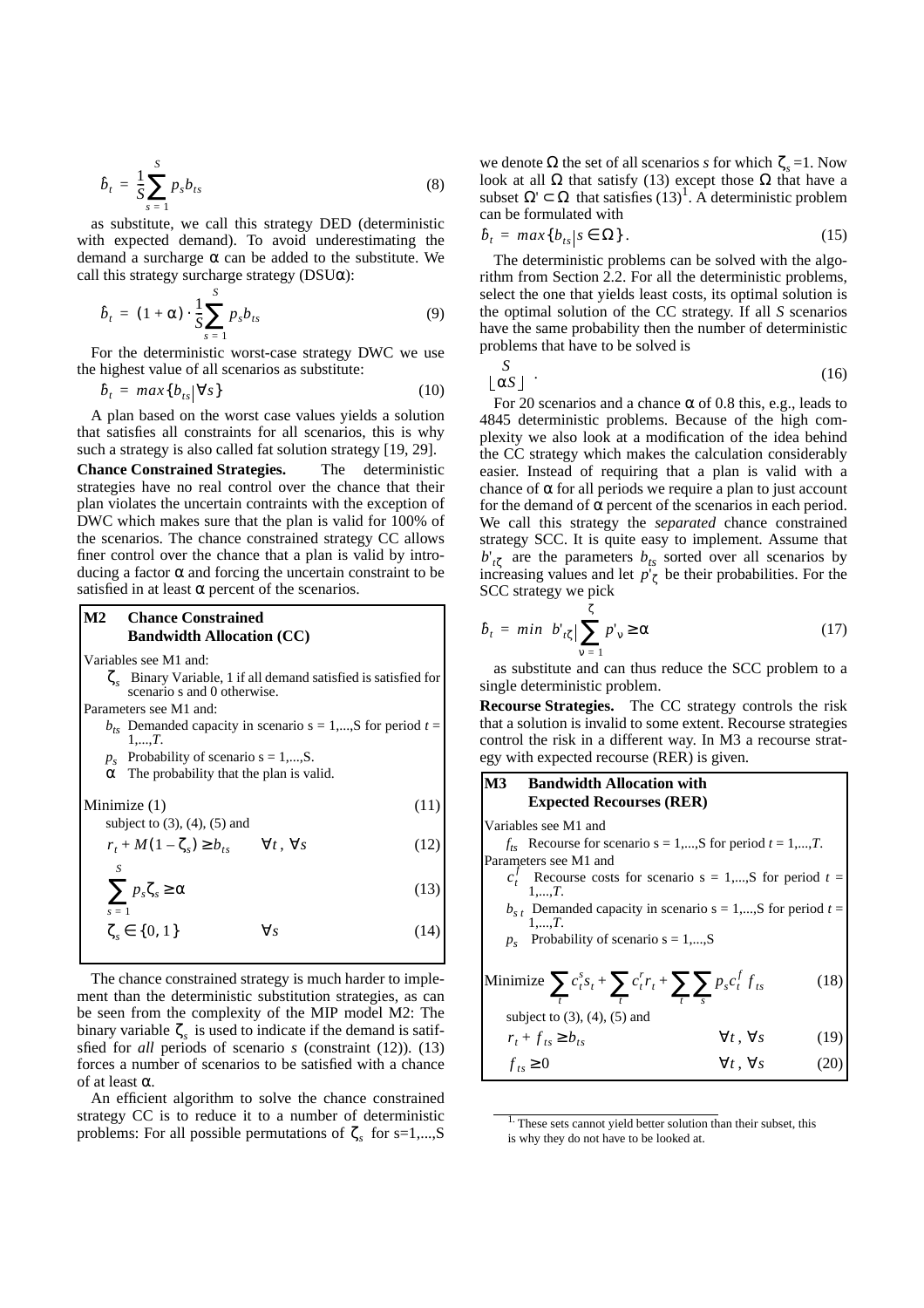$$
\hat{b}_t = \frac{1}{S} \sum_{s=1}^{S} p_s b_{ts}
$$
\n(8)

as substitute, we call this strategy DED (deterministic with expected demand). To avoid underestimating the demand a surcharge  $\alpha$  can be added to the substitute. We call this strategy surcharge strategy ( $DSU\alpha$ ):

$$
\hat{b}_t = (1+\alpha) \cdot \frac{1}{S} \sum_{s=1}^{S} p_s b_{ts} \tag{9}
$$

For the deterministic worst-case strategy DWC we use the highest value of all scenarios as substitute:

$$
\hat{b}_t = max\{b_{ts}|\forall s\}
$$
 (10)

A plan based on the worst case values yields a solution that satisfies all constraints for all scenarios, this is why such a strategy is also called fat solution strategy [19, 29].

**Chance Constrained Strategies.** The deterministic strategies have no real control over the chance that their plan violates the uncertain contraints with the exception of DWC which makes sure that the plan is valid for 100% of the scenarios. The chance constrained strategy CC allows finer control over the chance that a plan is valid by introducing a factor  $\alpha$  and forcing the uncertain constraint to be satisfied in at least  $\alpha$  percent of the scenarios.

#### **M2 Chance Constrained Bandwidth Allocation (CC)**

Variables see M1 and:

Binary Variable, 1 if all demand satisfied is satisfied for ζ*s* scenario s and 0 otherwise.

Parameters see M1 and:

- $b_{ts}$  Demanded capacity in scenario  $s = 1,...,S$  for period  $t =$ 1,...,*T*.
- $p_s$  Probability of scenario  $s = 1,...,S$ .
- $\alpha$  The probability that the plan is valid.

 $\text{Minimize} (1)$  (11)

subject to  $(3)$ ,  $(4)$ ,  $(5)$  and

$$
r_t + M(1 - \zeta_s) \ge b_{ts} \qquad \forall t, \forall s
$$
 (12)

$$
\sum_{s=1}^{s} p_s \zeta_s \ge \alpha \tag{13}
$$

$$
\zeta_s \in \{0, 1\} \qquad \forall s \tag{14}
$$

The chance constrained strategy is much harder to implement than the deterministic substitution strategies, as can be seen from the complexity of the MIP model M2: The binary variable  $\zeta_s$  is used to indicate if the demand is satifsfied for *all* periods of scenario *s* (constraint (12)). (13) forces a number of scenarios to be satisfied with a chance of at least α.

An efficient algorithm to solve the chance constrained strategy CC is to reduce it to a number of deterministic problems: For all possible permutations of  $\zeta_s$  for s=1,...,S

we denote  $\Omega$  the set of all scenarios *s* for which  $\zeta_s = 1$ . Now look at all  $\Omega$  that satisfy (13) except those  $\Omega$  that have a subset  $\Omega' \subset \Omega$  that satisfies  $(13)^1$ . A deterministic problem can be formulated with

 $(15)$  $\hat{b}_t = max\{b_{ts} | s \in \Omega\}.$ 

The deterministic problems can be solved with the algorithm from Section 2.2. For all the deterministic problems, select the one that yields least costs, its optimal solution is the optimal solution of the CC strategy. If all *S* scenarios have the same probability then the number of deterministic problems that have to be solved is

$$
\begin{pmatrix} S \\ \lfloor \alpha S \rfloor \end{pmatrix}.
$$
 (16)

For 20 scenarios and a chance  $\alpha$  of 0.8 this, e.g., leads to 4845 deterministic problems. Because of the high complexity we also look at a modification of the idea behind the CC strategy which makes the calculation considerably easier. Instead of requiring that a plan is valid with a chance of  $\alpha$  for all periods we require a plan to just account for the demand of  $\alpha$  percent of the scenarios in each period. We call this strategy the *separated* chance constrained strategy SCC. It is quite easy to implement. Assume that  $b'_{t\zeta}$  are the parameters  $b_{ts}$  sorted over all scenarios by increasing values and let  $p'_{\zeta}$  be their probabilities. For the SCC strategy we pick

$$
\hat{b}_t = min \bigg\{ b_{t\zeta} \bigg| \sum_{v=1}^{\zeta} p_v \ge \alpha \bigg\} \tag{17}
$$

as substitute and can thus reduce the SCC problem to a single deterministic problem.

**Recourse Strategies.** The CC strategy controls the risk that a solution is invalid to some extent. Recourse strategies control the risk in a different way. In M3 a recourse strategy with expected recourse (RER) is given.

# **M3 Bandwidth Allocation with Expected Recourses (RER)**

Variables see M1 and

 $f_{ts}$  Recourse for scenario  $s = 1,...,S$  for period  $t = 1,...,T$ . Parameters see M1 and

- $c_t^f$  Recourse costs for scenario  $s = 1,...,S$  for period  $t =$ 1,...,*T*.
- $b_{s t}$  Demanded capacity in scenario  $s = 1,...,S$  for period  $t = 1,...,T$ .
- $p_s$  Probability of scenario  $s = 1,...,S$

Minimize 
$$
\sum_{t} c_{t}^{s} s_{t} + \sum_{t} c_{t}^{r} r_{t} + \sum_{t} \sum_{s} p_{s} c_{t}^{f} f_{ts}
$$
 (18)  
\nsubject to (3), (4), (5) and  
\n $r_{t} + f_{ts} \ge b_{ts}$   $\forall t, \forall s$  (19)  
\n $f_{ts} \ge 0$   $\forall t, \forall s$  (20)

<sup>&</sup>lt;sup>1.</sup> These sets cannot yield better solution than their subset, this is why they do not have to be looked at.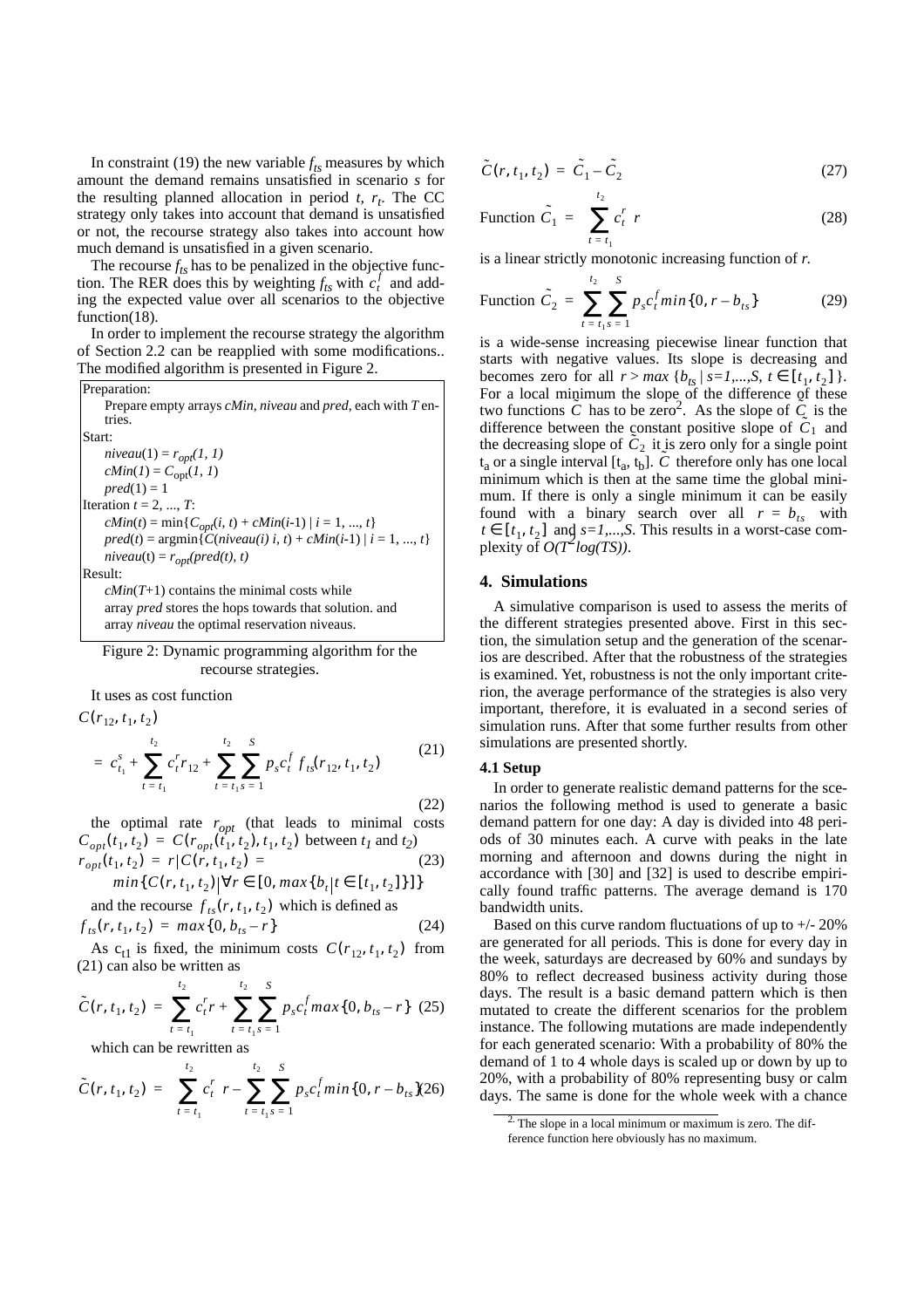In constraint (19) the new variable  $f_{ts}$  measures by which amount the demand remains unsatisfied in scenario *s* for the resulting planned allocation in period  $t$ ,  $r_t$ . The CC strategy only takes into account that demand is unsatisfied or not, the recourse strategy also takes into account how much demand is unsatisfied in a given scenario.

The recourse  $f_{ts}$  has to be penalized in the objective function. The RER does this by weighting  $f_{ts}$  with  $c_t^f$  and adding the expected value over all scenarios to the objective function(18).

In order to implement the recourse strategy the algorithm of Section 2.2 can be reapplied with some modifications.. The modified algorithm is presented in Figure 2.

Preparation:

\n\n- Prepare empty arrays *cMin*, *niveau* and *pred*, each with *T* entries.
\n
\nStart:

\n\n- *niveau*(1) = 
$$
r_{opt}(I, I)
$$
\n- *cMin*(1) =  $C_{opt}(I, I)$
\n- *pred*(1) = 1
\n
\nIteration  $t = 2, \ldots, T$ :

\n\n- *cMin*( $t$ ) = min{ $C_{opt}(i, t)$  + *cMin*( $i$ -1) |  $i$  = 1, ...,  $t$ }
\n- *pred*( $t$ ) = argmin{ $C(niveau(i), i, t)$  + *cMin*( $i$ -1) |  $i$  = 1, ...,  $t$ }
\n- *niveau*( $t$ ) =  $r_{opt}(pred(t), t)$
\n
\nResult:

\n\n- *cMin*( $T$ +1)
\n
\ncontains the minimal costs while array *pred* stores the hops towards that solution. and

array *niveau* the optimal reservation niveaus.

# Figure 2: Dynamic programming algorithm for the recourse strategies.

It uses as cost function

$$
C(r_{12}, t_1, t_2)
$$
  
=  $c_{t_1}^s + \sum_{t=t_1}^{t_2} c_t^r r_{12} + \sum_{t=t_1}^{t_2} \sum_{s=1}^S p_s c_t^f f_{ts}(r_{12}, t_1, t_2)$  (21)

the optimal rate  $r_{opt}$  (that leads to minimal costs  $C_{opt}(t_1, t_2) = C(r_{opt}(t_1, t_2), t_1, t_2)$  between  $t_1$  and  $t_2$ ) (23)  $r_{opt}(t_1, t_2) = r | C(r, t_1, t_2)$ 

$$
min{C(r, t_1, t_2) | \forall r \in [0, max{b_t | t \in [t_1, t_2] \}}]
$$

and the recourse  $f_{ts}(r, t_1, t_2)$  which is defined as  $f_{ts}(r, t_1, t_2) = max\{0, b_{ts} - r\}$ 

As  $c_{t1}$  is fixed, the minimum costs  $C(r_{12}, t_1, t_2)$  from (21) can also be written as

$$
\tilde{C}(r, t_1, t_2) = \sum_{t = t_1}^{t_2} c_t^r r + \sum_{t = t_1}^{t_2} \sum_{s = 1}^{s} p_s c_t^f max\{0, b_{ts} - r\} \tag{25}
$$

which can be rewritten as

$$
\tilde{C}(r, t_1, t_2) = \left(\sum_{t=t_1}^{t_2} c_t^r\right) r - \sum_{t=t_1}^{t_2} \sum_{s=1}^{s} p_s c_t^f \min\{0, r - b_{ts}\}(26)
$$

$$
\tilde{C}(r, t_1, t_2) = \tilde{C}_1 - \tilde{C}_2 \tag{27}
$$

Function 
$$
\tilde{C}_1 = \left(\sum_{t=t_1}^{t_2} c_t^r\right) r
$$
 (28)

is a linear strictly monotonic increasing function of *r*.

Function 
$$
\tilde{C}_2 = \sum_{t=t_1}^{t_2} \sum_{s=1}^{S} p_s c_t^f \min\{0, r - b_{ts}\}\
$$
 (29)

is a wide-sense increasing piecewise linear function that starts with negative values. Its slope is decreasing and becomes zero for all  $r > max \{b_{ts} | s = 1,..., S, t \in [t_1, t_2] \}.$ For a local minimum the slope of the difference of these two functions  $\tilde{C}$  has to be zero<sup>2</sup>. As the slope of  $\tilde{C}$  is the difference between the constant positive slope of  $\tilde{C}_1$  and the decreasing slope of  $C_2$  it is zero only for a single point  $t_a$  or a single interval  $[t_a, t_b]$ . *C* therefore only has one local minimum which is then at the same time the global minimum. If there is only a single minimum it can be easily found with a binary search over all  $r = b_{ts}$  with  $t \in [t_1, t_2]$  and  $s = 1,...,S$ . This results in a worst-case complexity of  $O(T^2 log(TS))$ .

### **4. Simulations**

A simulative comparison is used to assess the merits of the different strategies presented above. First in this section, the simulation setup and the generation of the scenarios are described. After that the robustness of the strategies is examined. Yet, robustness is not the only important criterion, the average performance of the strategies is also very important, therefore, it is evaluated in a second series of simulation runs. After that some further results from other simulations are presented shortly.

#### **4.1 Setup**

(24)

In order to generate realistic demand patterns for the scenarios the following method is used to generate a basic demand pattern for one day: A day is divided into 48 periods of 30 minutes each. A curve with peaks in the late morning and afternoon and downs during the night in accordance with [30] and [32] is used to describe empirically found traffic patterns. The average demand is 170 bandwidth units.

Based on this curve random fluctuations of up to  $+/- 20\%$ are generated for all periods. This is done for every day in the week, saturdays are decreased by 60% and sundays by 80% to reflect decreased business activity during those days. The result is a basic demand pattern which is then mutated to create the different scenarios for the problem instance. The following mutations are made independently for each generated scenario: With a probability of 80% the demand of 1 to 4 whole days is scaled up or down by up to 20%, with a probability of 80% representing busy or calm days. The same is done for the whole week with a chance

<sup>&</sup>lt;sup>2.</sup> The slope in a local minimum or maximum is zero. The difference function here obviously has no maximum.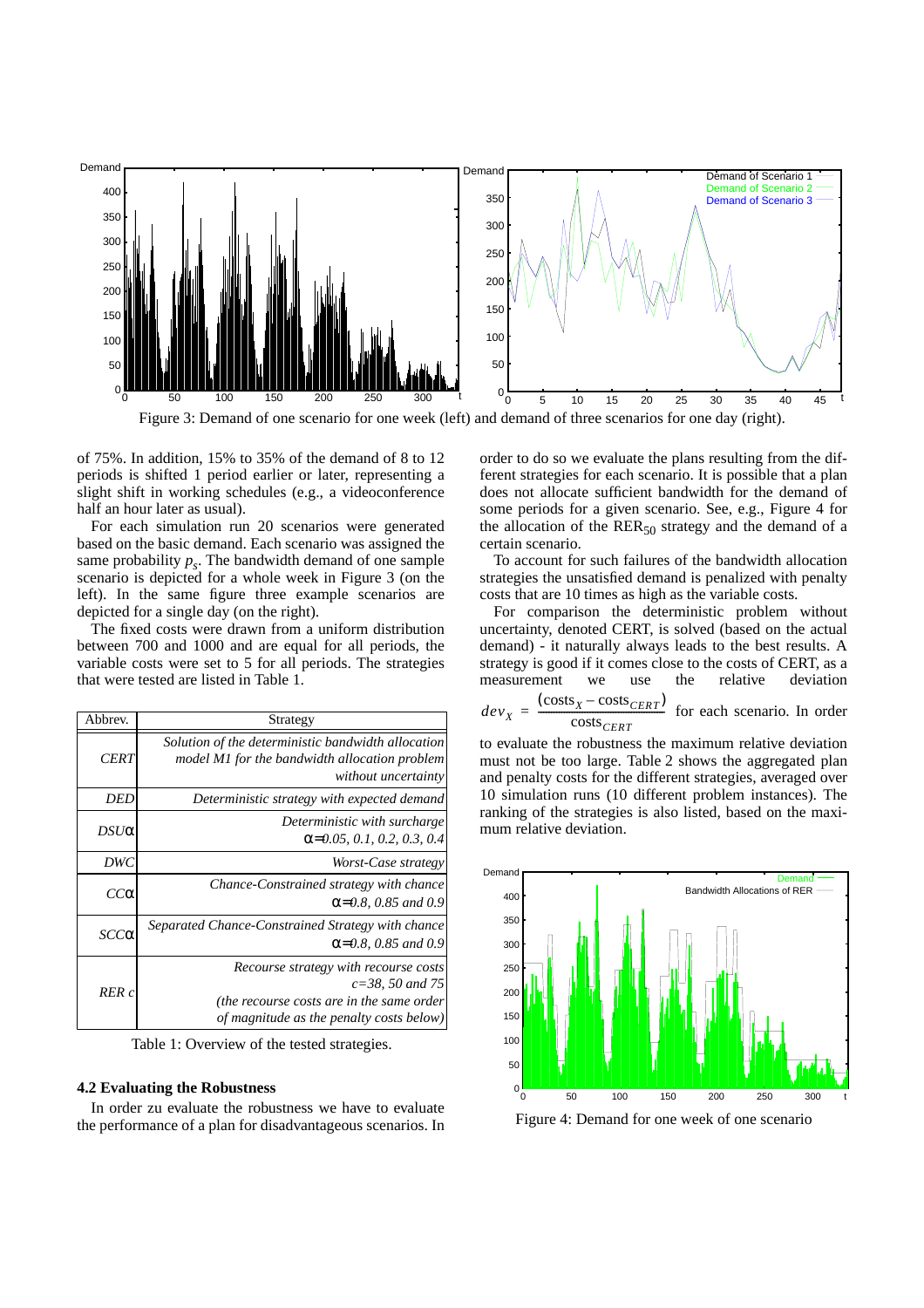

of 75%. In addition, 15% to 35% of the demand of 8 to 12 periods is shifted 1 period earlier or later, representing a slight shift in working schedules (e.g., a videoconference half an hour later as usual).

For each simulation run 20 scenarios were generated based on the basic demand. Each scenario was assigned the same probability  $p_s$ . The bandwidth demand of one sample scenario is depicted for a whole week in Figure 3 (on the left). In the same figure three example scenarios are depicted for a single day (on the right).

The fixed costs were drawn from a uniform distribution between 700 and 1000 and are equal for all periods, the variable costs were set to 5 for all periods. The strategies that were tested are listed in Table 1.

| Strategy                                                                                                                                               | Abbrev.     |
|--------------------------------------------------------------------------------------------------------------------------------------------------------|-------------|
| Solution of the deterministic bandwidth allocation<br>model M1 for the bandwidth allocation problem<br>without uncertainty                             | <b>CERT</b> |
| Deterministic strategy with expected demand                                                                                                            | DED         |
| Deterministic with surcharge<br>$\alpha$ =0.05, 0.1, 0.2, 0.3, 0.4                                                                                     | $DSU\alpha$ |
| Worst-Case strategy                                                                                                                                    | DWC         |
| Chance-Constrained strategy with chance<br>$\alpha$ =0.8, 0.85 and 0.9                                                                                 | $cc\alpha$  |
| Separated Chance-Constrained Strategy with chance<br>$\alpha$ =0.8, 0.85 and 0.9                                                                       | $SCC\alpha$ |
| Recourse strategy with recourse costs<br>$c = 38$ , 50 and 75<br>(the recourse costs are in the same order<br>of magnitude as the penalty costs below) | RER c       |

Table 1: Overview of the tested strategies.

#### **4.2 Evaluating the Robustness**

In order zu evaluate the robustness we have to evaluate the performance of a plan for disadvantageous scenarios. In order to do so we evaluate the plans resulting from the different strategies for each scenario. It is possible that a plan does not allocate sufficient bandwidth for the demand of some periods for a given scenario. See, e.g., Figure 4 for the allocation of the  $RER_{50}$  strategy and the demand of a certain scenario.

To account for such failures of the bandwidth allocation strategies the unsatisfied demand is penalized with penalty costs that are 10 times as high as the variable costs.

For comparison the deterministic problem without uncertainty, denoted CERT, is solved (based on the actual demand) - it naturally always leads to the best results. A strategy is good if it comes close to the costs of CERT, as a measurement we use the relative deviation

$$
dev_X = \frac{(\text{costs}_X - \text{costs}_{CERT})}{\text{costs}_{CERT}} \text{ for each scenario. In order}
$$

to evaluate the robustness the maximum relative deviation must not be too large. Table 2 shows the aggregated plan and penalty costs for the different strategies, averaged over 10 simulation runs (10 different problem instances). The ranking of the strategies is also listed, based on the maximum relative deviation.



Figure 4: Demand for one week of one scenario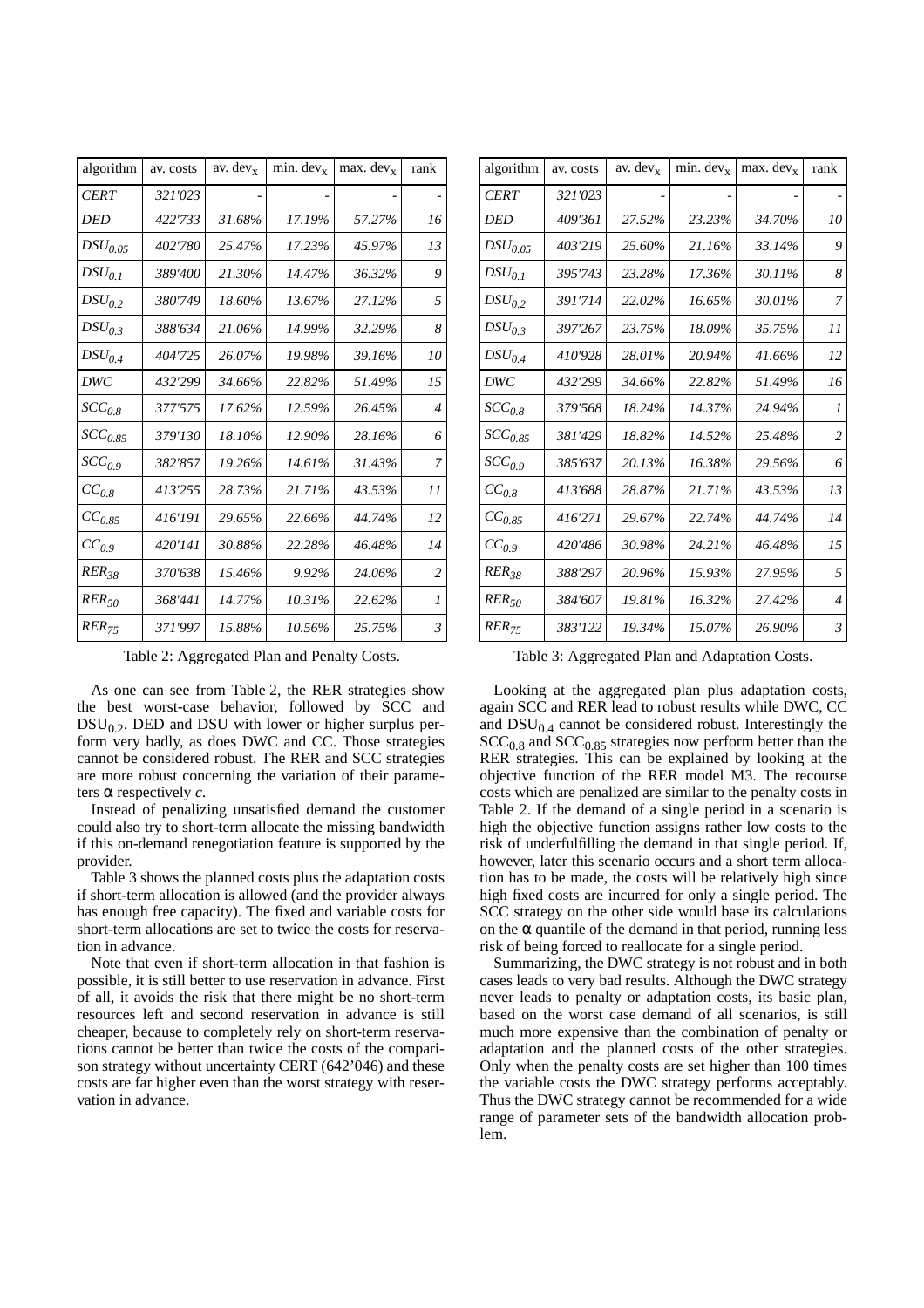| algorithm    | av. costs | av. $dev_x$ | $min. dev_x$ | $max. dev_x$ | rank           |
|--------------|-----------|-------------|--------------|--------------|----------------|
| <b>CERT</b>  | 321'023   |             |              |              |                |
| DED          | 422'733   | 31.68%      | 17.19%       | 57.27%       | 16             |
| $DSU_{0.05}$ | 402'780   | 25.47%      | 17.23%       | 45.97%       | 13             |
| $DSU_{0.1}$  | 389'400   | 21.30%      | 14.47%       | 36.32%       | 9              |
| $DSU_{0.2}$  | 380'749   | 18.60%      | 13.67%       | 27.12%       | 5              |
| $DSU_{0.3}$  | 388'634   | 21.06%      | 14.99%       | 32.29%       | 8              |
| $DSU_{0.4}$  | 404'725   | 26.07%      | 19.98%       | 39.16%       | 10             |
| DWC          | 432'299   | 34.66%      | 22.82%       | 51.49%       | 15             |
| $SCC_{0.8}$  | 377'575   | 17.62%      | 12.59%       | 26.45%       | $\overline{4}$ |
| $SCC_{0.85}$ | 379'130   | 18.10%      | 12.90%       | 28.16%       | 6              |
| $SCC_{0.9}$  | 382'857   | 19.26%      | 14.61%       | 31.43%       | 7              |
| $CC_{0.8}$   | 413'255   | 28.73%      | 21.71%       | 43.53%       | $_{II}$        |
| $CC_{0.85}$  | 416'191   | 29.65%      | 22.66%       | 44.74%       | 12             |
| $CC_{0.9}$   | 420'141   | 30.88%      | 22.28%       | 46.48%       | 14             |
| $RER_{38}$   | 370'638   | 15.46%      | 9.92%        | 24.06%       | 2              |
| $RER_{50}$   | 368'441   | 14.77%      | 10.31%       | 22.62%       | $\mathcal{I}$  |
| $RER_{75}$   | 371'997   | 15.88%      | 10.56%       | 25.75%       | $\mathfrak{Z}$ |

Table 2: Aggregated Plan and Penalty Costs.

As one can see from Table 2, the RER strategies show the best worst-case behavior, followed by SCC and  $DSU<sub>0.2</sub>$ . DED and DSU with lower or higher surplus perform very badly, as does DWC and CC. Those strategies cannot be considered robust. The RER and SCC strategies are more robust concerning the variation of their parameters α respectively *c*.

Instead of penalizing unsatisfied demand the customer could also try to short-term allocate the missing bandwidth if this on-demand renegotiation feature is supported by the provider.

Table 3 shows the planned costs plus the adaptation costs if short-term allocation is allowed (and the provider always has enough free capacity). The fixed and variable costs for short-term allocations are set to twice the costs for reservation in advance.

Note that even if short-term allocation in that fashion is possible, it is still better to use reservation in advance. First of all, it avoids the risk that there might be no short-term resources left and second reservation in advance is still cheaper, because to completely rely on short-term reservations cannot be better than twice the costs of the comparison strategy without uncertainty CERT (642'046) and these costs are far higher even than the worst strategy with reservation in advance.

| algorithm    | av. costs | av. $dev_x$ | $min. dev_x$ | max. dev <sub>x</sub> | rank           |
|--------------|-----------|-------------|--------------|-----------------------|----------------|
| <b>CERT</b>  | 321'023   |             |              |                       |                |
| DED          | 409'361   | 27.52%      | 23.23%       | 34.70%                | 10             |
| $DSU_{0.05}$ | 403'219   | 25.60%      | 21.16%       | 33.14%                | 9              |
| $DSU_{0.1}$  | 395'743   | 23.28%      | 17.36%       | 30.11%                | 8              |
| $DSU_{0.2}$  | 391'714   | 22.02%      | 16.65%       | 30.01%                | 7              |
| $DSU_{0.3}$  | 397'267   | 23.75%      | 18.09%       | 35.75%                | 11             |
| $DSU_{0.4}$  | 410'928   | 28.01%      | 20.94%       | 41.66%                | 12             |
| DWC          | 432'299   | 34.66%      | 22.82%       | 51.49%                | 16             |
| $SCC_{0.8}$  | 379'568   | 18.24%      | 14.37%       | 24.94%                | 1              |
| $SCC_{0.85}$ | 381'429   | 18.82%      | 14.52%       | 25.48%                | $\overline{c}$ |
| $SCC_{0.9}$  | 385'637   | 20.13%      | 16.38%       | 29.56%                | 6              |
| $CC_{0.8}$   | 413'688   | 28.87%      | 21.71%       | 43.53%                | 13             |
| $CC_{0.85}$  | 416'271   | 29.67%      | 22.74%       | 44.74%                | 14             |
| $CC_{0.9}$   | 420'486   | 30.98%      | 24.21%       | 46.48%                | 15             |
| $RER_{38}$   | 388'297   | 20.96%      | 15.93%       | 27.95%                | 5              |
| $RER_{50}$   | 384'607   | 19.81%      | 16.32%       | 27.42%                | $\overline{4}$ |
| $RER_{75}$   | 383'122   | 19.34%      | 15.07%       | 26.90%                | $\mathfrak{Z}$ |

Table 3: Aggregated Plan and Adaptation Costs.

Looking at the aggregated plan plus adaptation costs, again SCC and RER lead to robust results while DWC, CC and  $DSU_{0.4}$  cannot be considered robust. Interestingly the  $SCC<sub>0.8</sub>$  and  $SCC<sub>0.85</sub>$  strategies now perform better than the RER strategies. This can be explained by looking at the objective function of the RER model M3. The recourse costs which are penalized are similar to the penalty costs in Table 2. If the demand of a single period in a scenario is high the objective function assigns rather low costs to the risk of underfulfilling the demand in that single period. If, however, later this scenario occurs and a short term allocation has to be made, the costs will be relatively high since high fixed costs are incurred for only a single period. The SCC strategy on the other side would base its calculations on the  $\alpha$  quantile of the demand in that period, running less risk of being forced to reallocate for a single period.

Summarizing, the DWC strategy is not robust and in both cases leads to very bad results. Although the DWC strategy never leads to penalty or adaptation costs, its basic plan, based on the worst case demand of all scenarios, is still much more expensive than the combination of penalty or adaptation and the planned costs of the other strategies. Only when the penalty costs are set higher than 100 times the variable costs the DWC strategy performs acceptably. Thus the DWC strategy cannot be recommended for a wide range of parameter sets of the bandwidth allocation problem.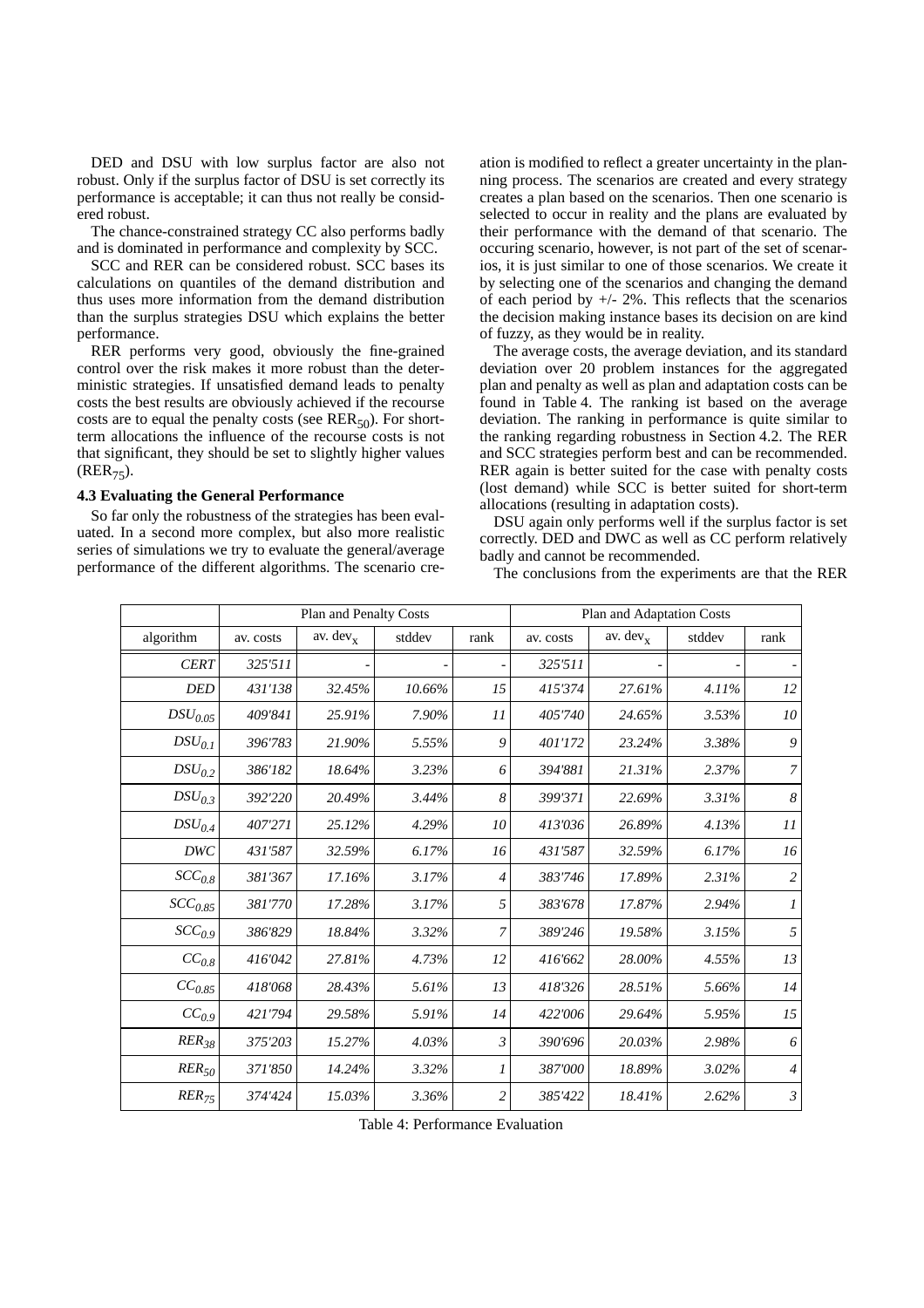DED and DSU with low surplus factor are also not robust. Only if the surplus factor of DSU is set correctly its performance is acceptable; it can thus not really be considered robust.

The chance-constrained strategy CC also performs badly and is dominated in performance and complexity by SCC.

SCC and RER can be considered robust. SCC bases its calculations on quantiles of the demand distribution and thus uses more information from the demand distribution than the surplus strategies DSU which explains the better performance.

RER performs very good, obviously the fine-grained control over the risk makes it more robust than the deterministic strategies. If unsatisfied demand leads to penalty costs the best results are obviously achieved if the recourse costs are to equal the penalty costs (see  $RER_{50}$ ). For shortterm allocations the influence of the recourse costs is not that significant, they should be set to slightly higher values  $(RER_{75})$ .

#### **4.3 Evaluating the General Performance**

So far only the robustness of the strategies has been evaluated. In a second more complex, but also more realistic series of simulations we try to evaluate the general/average performance of the different algorithms. The scenario creation is modified to reflect a greater uncertainty in the planning process. The scenarios are created and every strategy creates a plan based on the scenarios. Then one scenario is selected to occur in reality and the plans are evaluated by their performance with the demand of that scenario. The occuring scenario, however, is not part of the set of scenarios, it is just similar to one of those scenarios. We create it by selecting one of the scenarios and changing the demand of each period by  $+/- 2\%$ . This reflects that the scenarios the decision making instance bases its decision on are kind of fuzzy, as they would be in reality.

The average costs, the average deviation, and its standard deviation over 20 problem instances for the aggregated plan and penalty as well as plan and adaptation costs can be found in Table 4. The ranking ist based on the average deviation. The ranking in performance is quite similar to the ranking regarding robustness in Section 4.2. The RER and SCC strategies perform best and can be recommended. RER again is better suited for the case with penalty costs (lost demand) while SCC is better suited for short-term allocations (resulting in adaptation costs).

DSU again only performs well if the surplus factor is set correctly. DED and DWC as well as CC perform relatively badly and cannot be recommended.

The conclusions from the experiments are that the RER

|              | Plan and Penalty Costs |             |        |                | Plan and Adaptation Costs |             |        |                  |
|--------------|------------------------|-------------|--------|----------------|---------------------------|-------------|--------|------------------|
| algorithm    | av. costs              | av. $dev_x$ | stddev | rank           | av. costs                 | av. $dev_x$ | stddev | rank             |
| <b>CERT</b>  | 325'511                |             |        |                | 325'511                   |             |        |                  |
| <b>DED</b>   | 431'138                | 32.45%      | 10.66% | 15             | 415'374                   | 27.61%      | 4.11%  | 12               |
| $DSU_{0.05}$ | 409'841                | 25.91%      | 7.90%  | 11             | 405'740                   | 24.65%      | 3.53%  | 10 <sup>2</sup>  |
| $DSU_{0.1}$  | 396'783                | 21.90%      | 5.55%  | 9              | 401'172                   | 23.24%      | 3.38%  | 9                |
| $DSU_{0.2}$  | 386'182                | 18.64%      | 3.23%  | 6              | 394'881                   | 21.31%      | 2.37%  | $\overline{7}$   |
| $DSU_{0.3}$  | 392'220                | 20.49%      | 3.44%  | 8              | 399'371                   | 22.69%      | 3.31%  | 8                |
| $DSU_{0.4}$  | 407'271                | 25.12%      | 4.29%  | 10             | 413'036                   | 26.89%      | 4.13%  | II               |
| <b>DWC</b>   | 431'587                | 32.59%      | 6.17%  | 16             | 431'587                   | 32.59%      | 6.17%  | 16               |
| $SCC_{0.8}$  | 381'367                | 17.16%      | 3.17%  | 4              | 383'746                   | 17.89%      | 2.31%  | $\overline{c}$   |
| $SCC_{0.85}$ | 381'770                | 17.28%      | 3.17%  | 5              | 383'678                   | 17.87%      | 2.94%  | $\boldsymbol{l}$ |
| $SCC_{0.9}$  | 386'829                | 18.84%      | 3.32%  | 7              | 389'246                   | 19.58%      | 3.15%  | 5                |
| $CC_{0.8}$   | 416'042                | 27.81%      | 4.73%  | 12             | 416'662                   | 28.00%      | 4.55%  | 13               |
| $CC_{0.85}$  | 418'068                | 28.43%      | 5.61%  | 13             | 418'326                   | 28.51%      | 5.66%  | 14               |
| $CC_{0.9}$   | 421'794                | 29.58%      | 5.91%  | 14             | 422'006                   | 29.64%      | 5.95%  | 15               |
| $RER_{38}$   | 375'203                | 15.27%      | 4.03%  | $\mathfrak{Z}$ | 390'696                   | 20.03%      | 2.98%  | 6                |
| $RER_{50}$   | 371'850                | 14.24%      | 3.32%  | 1              | 387'000                   | 18.89%      | 3.02%  | $\overline{4}$   |
| $RER_{75}$   | 374'424                | 15.03%      | 3.36%  | $\overline{c}$ | 385'422                   | 18.41%      | 2.62%  | $\mathfrak{Z}$   |

Table 4: Performance Evaluation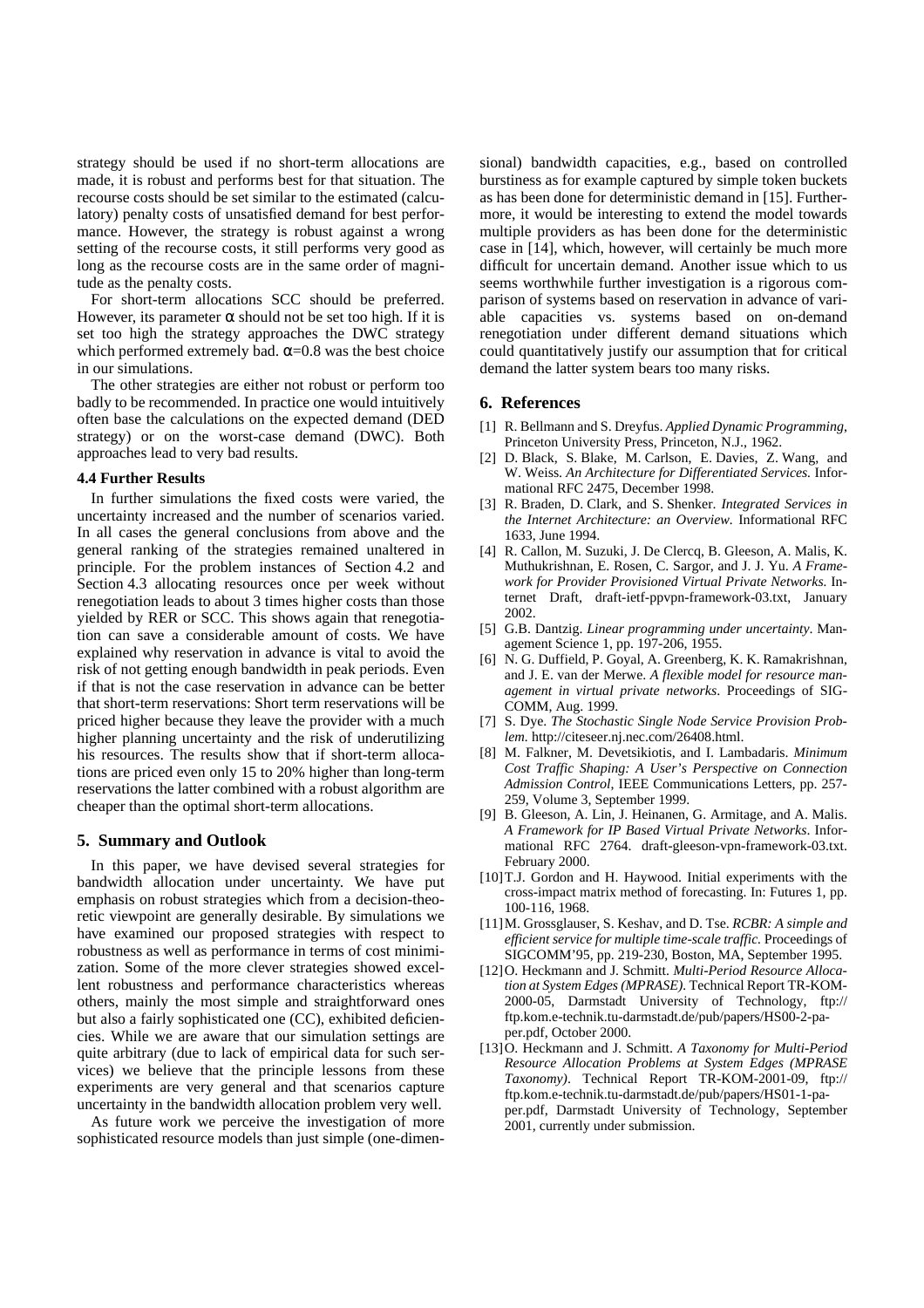strategy should be used if no short-term allocations are made, it is robust and performs best for that situation. The recourse costs should be set similar to the estimated (calculatory) penalty costs of unsatisfied demand for best performance. However, the strategy is robust against a wrong setting of the recourse costs, it still performs very good as long as the recourse costs are in the same order of magnitude as the penalty costs.

For short-term allocations SCC should be preferred. However, its parameter  $\alpha$  should not be set too high. If it is set too high the strategy approaches the DWC strategy which performed extremely bad.  $\alpha$ =0.8 was the best choice in our simulations.

The other strategies are either not robust or perform too badly to be recommended. In practice one would intuitively often base the calculations on the expected demand (DED strategy) or on the worst-case demand (DWC). Both approaches lead to very bad results.

#### **4.4 Further Results**

In further simulations the fixed costs were varied, the uncertainty increased and the number of scenarios varied. In all cases the general conclusions from above and the general ranking of the strategies remained unaltered in principle. For the problem instances of Section 4.2 and Section 4.3 allocating resources once per week without renegotiation leads to about 3 times higher costs than those yielded by RER or SCC. This shows again that renegotiation can save a considerable amount of costs. We have explained why reservation in advance is vital to avoid the risk of not getting enough bandwidth in peak periods. Even if that is not the case reservation in advance can be better that short-term reservations: Short term reservations will be priced higher because they leave the provider with a much higher planning uncertainty and the risk of underutilizing his resources. The results show that if short-term allocations are priced even only 15 to 20% higher than long-term reservations the latter combined with a robust algorithm are cheaper than the optimal short-term allocations.

## **5. Summary and Outlook**

In this paper, we have devised several strategies for bandwidth allocation under uncertainty. We have put emphasis on robust strategies which from a decision-theoretic viewpoint are generally desirable. By simulations we have examined our proposed strategies with respect to robustness as well as performance in terms of cost minimization. Some of the more clever strategies showed excellent robustness and performance characteristics whereas others, mainly the most simple and straightforward ones but also a fairly sophisticated one (CC), exhibited deficiencies. While we are aware that our simulation settings are quite arbitrary (due to lack of empirical data for such services) we believe that the principle lessons from these experiments are very general and that scenarios capture uncertainty in the bandwidth allocation problem very well.

As future work we perceive the investigation of more sophisticated resource models than just simple (one-dimensional) bandwidth capacities, e.g., based on controlled burstiness as for example captured by simple token buckets as has been done for deterministic demand in [15]. Furthermore, it would be interesting to extend the model towards multiple providers as has been done for the deterministic case in [14], which, however, will certainly be much more difficult for uncertain demand. Another issue which to us seems worthwhile further investigation is a rigorous comparison of systems based on reservation in advance of variable capacities vs. systems based on on-demand renegotiation under different demand situations which could quantitatively justify our assumption that for critical demand the latter system bears too many risks.

#### **6. References**

- [1] R. Bellmann and S. Dreyfus. *Applied Dynamic Programming*, Princeton University Press, Princeton, N.J., 1962.
- [2] D. Black, S. Blake, M. Carlson, E. Davies, Z. Wang, and W. Weiss. *An Architecture for Differentiated Services.* Informational RFC 2475, December 1998.
- [3] R. Braden, D. Clark, and S. Shenker. *Integrated Services in the Internet Architecture: an Overview.* Informational RFC 1633, June 1994.
- [4] R. Callon, M. Suzuki, J. De Clercq, B. Gleeson, A. Malis, K. Muthukrishnan, E. Rosen, C. Sargor, and J. J. Yu. *A Framework for Provider Provisioned Virtual Private Networks.* Internet Draft, draft-ietf-ppvpn-framework-03.txt, January 2002.
- [5] G.B. Dantzig. *Linear programming under uncertainty*. Management Science 1, pp. 197-206, 1955.
- [6] N. G. Duffield, P. Goyal, A. Greenberg, K. K. Ramakrishnan, and J. E. van der Merwe. *A flexible model for resource management in virtual private networks*. Proceedings of SIG-COMM, Aug. 1999.
- [7] S. Dye. *The Stochastic Single Node Service Provision Problem.* http://citeseer.nj.nec.com/26408.html.
- [8] M. Falkner, M. Devetsikiotis, and I. Lambadaris. *Minimum Cost Traffic Shaping: A User's Perspective on Connection Admission Control*, IEEE Communications Letters, pp. 257- 259, Volume 3, September 1999.
- [9] B. Gleeson, A. Lin, J. Heinanen, G. Armitage, and A. Malis. *A Framework for IP Based Virtual Private Networks*. Informational RFC 2764. draft-gleeson-vpn-framework-03.txt. February 2000.
- [10]T.J. Gordon and H. Haywood. Initial experiments with the cross-impact matrix method of forecasting. In: Futures 1, pp. 100-116, 1968.
- [11]M. Grossglauser, S. Keshav, and D. Tse. *RCBR: A simple and efficient service for multiple time-scale traffic.* Proceedings of SIGCOMM'95, pp. 219-230, Boston, MA, September 1995.
- [12]O. Heckmann and J. Schmitt. *Multi-Period Resource Allocation at System Edges (MPRASE).* Technical Report TR-KOM-2000-05, Darmstadt University of Technology, ftp:// ftp.kom.e-technik.tu-darmstadt.de/pub/papers/HS00-2-paper.pdf, October 2000.
- [13]O. Heckmann and J. Schmitt. *A Taxonomy for Multi-Period Resource Allocation Problems at System Edges (MPRASE Taxonomy)*. Technical Report TR-KOM-2001-09, ftp:// ftp.kom.e-technik.tu-darmstadt.de/pub/papers/HS01-1-paper.pdf, Darmstadt University of Technology, September 2001, currently under submission.